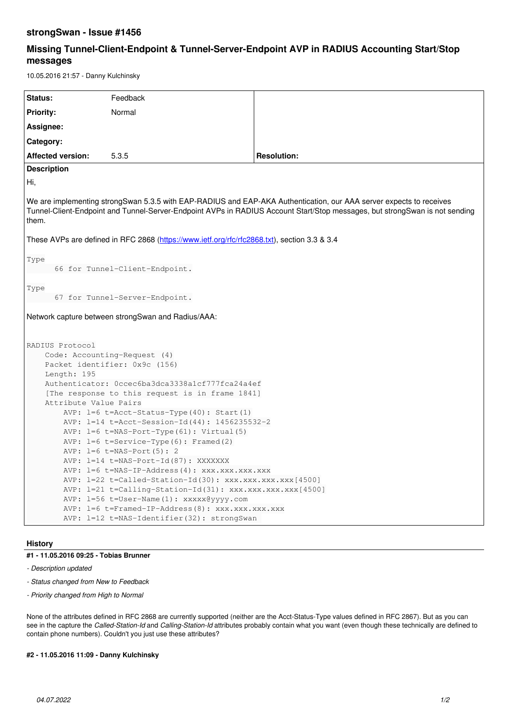## **strongSwan - Issue #1456**

# **Missing Tunnel-Client-Endpoint & Tunnel-Server-Endpoint AVP in RADIUS Accounting Start/Stop messages**

10.05.2016 21:57 - Danny Kulchinsky

| Status:                                                                                                                                                                                                                                                     | Feedback |                    |
|-------------------------------------------------------------------------------------------------------------------------------------------------------------------------------------------------------------------------------------------------------------|----------|--------------------|
| <b>Priority:</b>                                                                                                                                                                                                                                            | Normal   |                    |
| Assignee:                                                                                                                                                                                                                                                   |          |                    |
| Category:                                                                                                                                                                                                                                                   |          |                    |
| <b>Affected version:</b>                                                                                                                                                                                                                                    | 5.3.5    | <b>Resolution:</b> |
| <b>Description</b>                                                                                                                                                                                                                                          |          |                    |
| Hi,                                                                                                                                                                                                                                                         |          |                    |
| We are implementing strongSwan 5.3.5 with EAP-RADIUS and EAP-AKA Authentication, our AAA server expects to receives<br>Tunnel-Client-Endpoint and Tunnel-Server-Endpoint AVPs in RADIUS Account Start/Stop messages, but strongSwan is not sending<br>them. |          |                    |
| These AVPs are defined in RFC 2868 (https://www.ietf.org/rfc/rfc2868.txt), section 3.3 & 3.4                                                                                                                                                                |          |                    |
| Type<br>66 for Tunnel-Client-Endpoint.                                                                                                                                                                                                                      |          |                    |
| Type<br>67 for Tunnel-Server-Endpoint.                                                                                                                                                                                                                      |          |                    |
| Network capture between strongSwan and Radius/AAA:                                                                                                                                                                                                          |          |                    |
| RADIUS Protocol                                                                                                                                                                                                                                             |          |                    |
| Code: Accounting-Request (4)                                                                                                                                                                                                                                |          |                    |
| Packet identifier: 0x9c (156)                                                                                                                                                                                                                               |          |                    |
| Length: 195                                                                                                                                                                                                                                                 |          |                    |
| Authenticator: 0ccec6ba3dca3338a1cf777fca24a4ef                                                                                                                                                                                                             |          |                    |
| [The response to this request is in frame 1841]                                                                                                                                                                                                             |          |                    |
| Attribute Value Pairs<br>AVP: $l=6$ t=Acct-Status-Type (40): Start (1)                                                                                                                                                                                      |          |                    |
| AVP: 1=14 t=Acct-Session-Id(44): 1456235532-2                                                                                                                                                                                                               |          |                    |
| AVP: l=6 t=NAS-Port-Type(61): Virtual(5)                                                                                                                                                                                                                    |          |                    |
| AVP: $l=6$ t=Service-Type(6): Framed(2)                                                                                                                                                                                                                     |          |                    |
| AVP: $l=6$ t=NAS-Port (5): 2                                                                                                                                                                                                                                |          |                    |
| AVP: 1=14 t=NAS-Port-Id(87): XXXXXXX                                                                                                                                                                                                                        |          |                    |
| AVP: $l=6$ t=NAS-IP-Address(4): xxx.xxx.xxx.xxx                                                                                                                                                                                                             |          |                    |
| AVP: $l=22$ t=Called-Station-Id(30): xxx.xxx.xxx.xxx [4500]                                                                                                                                                                                                 |          |                    |
| $AVP:$ l=21 t=Calling-Station-Id(31): xxx.xxx.xxx.xxx[4500]                                                                                                                                                                                                 |          |                    |
| AVP: 1=56 t=User-Name(1): xxxxx@yyyy.com                                                                                                                                                                                                                    |          |                    |
| AVP: $l=6$ t=Framed-IP-Address(8): xxx.xxx.xxx.xxx                                                                                                                                                                                                          |          |                    |
| AVP: 1=12 t=NAS-Identifier(32): strongSwan                                                                                                                                                                                                                  |          |                    |

### **History**

### **#1 - 11.05.2016 09:25 - Tobias Brunner**

- *Description updated*
- *Status changed from New to Feedback*
- *Priority changed from High to Normal*

None of the attributes defined in RFC 2868 are currently supported (neither are the Acct-Status-Type values defined in RFC 2867). But as you can see in the capture the *Called-Station-Id* and *Calling-Station-Id* attributes probably contain what you want (even though these technically are defined to contain phone numbers). Couldn't you just use these attributes?

### **#2 - 11.05.2016 11:09 - Danny Kulchinsky**